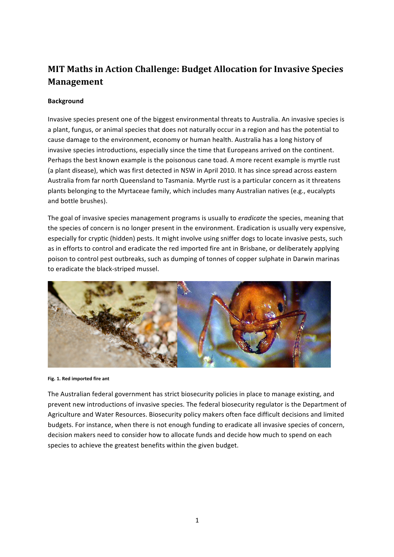## **MIT Maths in Action Challenge: Budget Allocation for Invasive Species Management**

## **Background**

Invasive species present one of the biggest environmental threats to Australia. An invasive species is a plant, fungus, or animal species that does not naturally occur in a region and has the potential to cause damage to the environment, economy or human health. Australia has a long history of invasive species introductions, especially since the time that Europeans arrived on the continent. Perhaps the best known example is the poisonous cane toad. A more recent example is myrtle rust (a plant disease), which was first detected in NSW in April 2010. It has since spread across eastern Australia from far north Queensland to Tasmania. Myrtle rust is a particular concern as it threatens plants belonging to the Myrtaceae family, which includes many Australian natives (e.g., eucalypts and bottle brushes).

The goal of invasive species management programs is usually to *eradicate* the species, meaning that the species of concern is no longer present in the environment. Eradication is usually very expensive, especially for cryptic (hidden) pests. It might involve using sniffer dogs to locate invasive pests, such as in efforts to control and eradicate the red imported fire ant in Brisbane, or deliberately applying poison to control pest outbreaks, such as dumping of tonnes of copper sulphate in Darwin marinas to eradicate the black-striped mussel.



## Fig. 1. Red imported fire ant

The Australian federal government has strict biosecurity policies in place to manage existing, and prevent new introductions of invasive species. The federal biosecurity regulator is the Department of Agriculture and Water Resources. Biosecurity policy makers often face difficult decisions and limited budgets. For instance, when there is not enough funding to eradicate all invasive species of concern, decision makers need to consider how to allocate funds and decide how much to spend on each species to achieve the greatest benefits within the given budget.